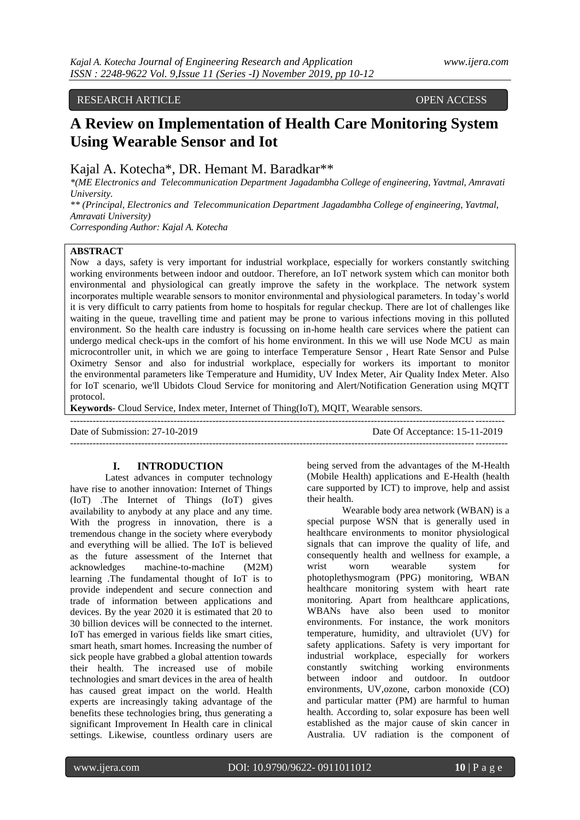# RESEARCH ARTICLE OPEN ACCESS

# **A Review on Implementation of Health Care Monitoring System Using Wearable Sensor and Iot**

# Kajal A. Kotecha\*, DR. Hemant M. Baradkar\*\*

*\*(ME Electronics and Telecommunication Department Jagadambha College of engineering, Yavtmal, Amravati University.*

*\*\* (Principal, Electronics and Telecommunication Department Jagadambha College of engineering, Yavtmal, Amravati University)*

*Corresponding Author: Kajal A. Kotecha*

# **ABSTRACT**

Now a days, safety is very important for industrial workplace, especially for workers constantly switching working environments between indoor and outdoor. Therefore, an IoT network system which can monitor both environmental and physiological can greatly improve the safety in the workplace. The network system incorporates multiple wearable sensors to monitor environmental and physiological parameters. In today's world it is very difficult to carry patients from home to hospitals for regular checkup. There are lot of challenges like waiting in the queue, travelling time and patient may be prone to various infections moving in this polluted environment. So the health care industry is focussing on in-home health care services where the patient can undergo medical check-ups in the comfort of his home environment. In this we will use Node MCU as main microcontroller unit, in which we are going to interface Temperature Sensor , Heart Rate Sensor and Pulse Oximetry Sensor and also for industrial workplace, especially for workers its important to monitor the environmental parameters like Temperature and Humidity, UV Index Meter, Air Quality Index Meter. Also for IoT scenario, we'll Ubidots Cloud Service for monitoring and Alert/Notification Generation using MQTT protocol.

---------------------------------------------------------------------------------------------------------------------------------------

**Keywords**- Cloud Service, Index meter, Internet of Thing(IoT), MQIT, Wearable sensors.

--------------------------------------------------------------------------------------------------------------------------------------

Date of Submission: 27-10-2019 Date Of Acceptance: 15-11-2019

#### **I. INTRODUCTION**

Latest advances in computer technology have rise to another innovation: Internet of Things (IoT) .The Internet of Things (IoT) gives availability to anybody at any place and any time. With the progress in innovation, there is a tremendous change in the society where everybody and everything will be allied. The IoT is believed as the future assessment of the Internet that acknowledges machine-to-machine (M2M) learning .The fundamental thought of IoT is to provide independent and secure connection and trade of information between applications and devices. By the year 2020 it is estimated that 20 to 30 billion devices will be connected to the internet. IoT has emerged in various fields like smart cities, smart heath, smart homes. Increasing the number of sick people have grabbed a global attention towards their health. The increased use of mobile technologies and smart devices in the area of health has caused great impact on the world. Health experts are increasingly taking advantage of the benefits these technologies bring, thus generating a significant Improvement In Health care in clinical settings. Likewise, countless ordinary users are

being served from the advantages of the M-Health (Mobile Health) applications and E-Health (health care supported by ICT) to improve, help and assist their health.

Wearable body area network (WBAN) is a special purpose WSN that is generally used in healthcare environments to monitor physiological signals that can improve the quality of life, and consequently health and wellness for example, a wrist worn wearable system for photoplethysmogram (PPG) monitoring, WBAN healthcare monitoring system with heart rate monitoring. Apart from healthcare applications, WBANs have also been used to monitor environments. For instance, the work monitors temperature, humidity, and ultraviolet (UV) for safety applications. Safety is very important for industrial workplace, especially for workers constantly switching working environments between indoor and outdoor. In outdoor environments, UV,ozone, carbon monoxide (CO) and particular matter (PM) are harmful to human health. According to, solar exposure has been well established as the major cause of skin cancer in Australia. UV radiation is the component of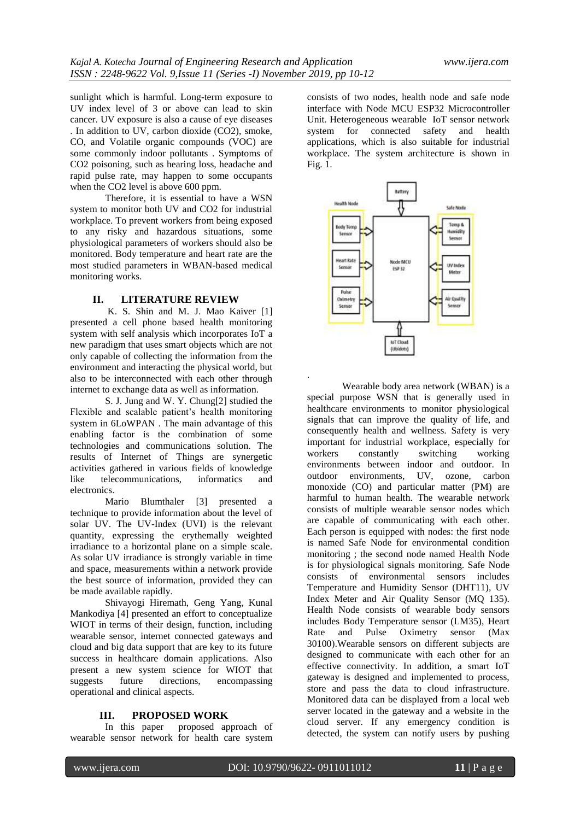sunlight which is harmful. Long-term exposure to UV index level of 3 or above can lead to skin cancer. UV exposure is also a cause of eye diseases . In addition to UV, carbon dioxide (CO2), smoke, CO, and Volatile organic compounds (VOC) are some commonly indoor pollutants . Symptoms of CO2 poisoning, such as hearing loss, headache and rapid pulse rate, may happen to some occupants when the CO2 level is above 600 ppm.

Therefore, it is essential to have a WSN system to monitor both UV and CO2 for industrial workplace. To prevent workers from being exposed to any risky and hazardous situations, some physiological parameters of workers should also be monitored. Body temperature and heart rate are the most studied parameters in WBAN-based medical monitoring works.

## **II. LITERATURE REVIEW**

K. S. Shin and M. J. Mao Kaiver [1] presented a cell phone based health monitoring system with self analysis which incorporates IoT a new paradigm that uses smart objects which are not only capable of collecting the information from the environment and interacting the physical world, but also to be interconnected with each other through internet to exchange data as well as information.

S. J. Jung and W. Y. Chung[2] studied the Flexible and scalable patient's health monitoring system in 6LoWPAN . The main advantage of this enabling factor is the combination of some technologies and communications solution. The results of Internet of Things are synergetic activities gathered in various fields of knowledge like telecommunications, informatics and electronics.

Mario Blumthaler [3] presented a technique to provide information about the level of solar UV. The UV-Index (UVI) is the relevant quantity, expressing the erythemally weighted irradiance to a horizontal plane on a simple scale. As solar UV irradiance is strongly variable in time and space, measurements within a network provide the best source of information, provided they can be made available rapidly.

Shivayogi Hiremath, Geng Yang, Kunal Mankodiya [4] presented an effort to conceptualize WIOT in terms of their design, function, including wearable sensor, internet connected gateways and cloud and big data support that are key to its future success in healthcare domain applications. Also present a new system science for WIOT that suggests future directions, encompassing operational and clinical aspects.

#### **III. PROPOSED WORK**

In this paper proposed approach of wearable sensor network for health care system

consists of two nodes, health node and safe node interface with Node MCU ESP32 Microcontroller Unit. Heterogeneous wearable IoT sensor network system for connected safety and health applications, which is also suitable for industrial workplace. The system architecture is shown in Fig. 1.



Wearable body area network (WBAN) is a special purpose WSN that is generally used in healthcare environments to monitor physiological signals that can improve the quality of life, and consequently health and wellness. Safety is very important for industrial workplace, especially for workers constantly switching working environments between indoor and outdoor. In outdoor environments, UV, ozone, carbon monoxide (CO) and particular matter (PM) are harmful to human health. The wearable network consists of multiple wearable sensor nodes which are capable of communicating with each other. Each person is equipped with nodes: the first node is named Safe Node for environmental condition monitoring ; the second node named Health Node is for physiological signals monitoring. Safe Node consists of environmental sensors includes Temperature and Humidity Sensor (DHT11), UV Index Meter and Air Quality Sensor (MQ 135). Health Node consists of wearable body sensors includes Body Temperature sensor (LM35), Heart Rate and Pulse Oximetry sensor (Max 30100).Wearable sensors on different subjects are designed to communicate with each other for an effective connectivity. In addition, a smart IoT gateway is designed and implemented to process, store and pass the data to cloud infrastructure. Monitored data can be displayed from a local web server located in the gateway and a website in the cloud server. If any emergency condition is detected, the system can notify users by pushing

.